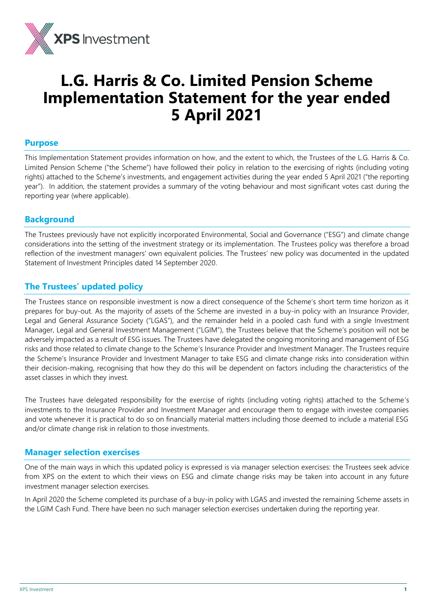

# **L.G. Harris & Co. Limited Pension Scheme Implementation Statement for the year ended 5 April 2021**

#### **Purpose**

This Implementation Statement provides information on how, and the extent to which, the Trustees of the L.G. Harris & Co. Limited Pension Scheme ("the Scheme") have followed their policy in relation to the exercising of rights (including voting rights) attached to the Scheme's investments, and engagement activities during the year ended 5 April 2021 ("the reporting year"). In addition, the statement provides a summary of the voting behaviour and most significant votes cast during the reporting year (where applicable).

## **Background**

The Trustees previously have not explicitly incorporated Environmental, Social and Governance ("ESG") and climate change considerations into the setting of the investment strategy or its implementation. The Trustees policy was therefore a broad reflection of the investment managers' own equivalent policies. The Trustees' new policy was documented in the updated Statement of Investment Principles dated 14 September 2020.

## **The Trustees' updated policy**

The Trustees stance on responsible investment is now a direct consequence of the Scheme's short term time horizon as it prepares for buy-out. As the majority of assets of the Scheme are invested in a buy-in policy with an Insurance Provider, Legal and General Assurance Society ("LGAS"), and the remainder held in a pooled cash fund with a single Investment Manager, Legal and General Investment Management ("LGIM"), the Trustees believe that the Scheme's position will not be adversely impacted as a result of ESG issues. The Trustees have delegated the ongoing monitoring and management of ESG risks and those related to climate change to the Scheme's Insurance Provider and Investment Manager. The Trustees require the Scheme's Insurance Provider and Investment Manager to take ESG and climate change risks into consideration within their decision-making, recognising that how they do this will be dependent on factors including the characteristics of the asset classes in which they invest.

The Trustees have delegated responsibility for the exercise of rights (including voting rights) attached to the Scheme's investments to the Insurance Provider and Investment Manager and encourage them to engage with investee companies and vote whenever it is practical to do so on financially material matters including those deemed to include a material ESG and/or climate change risk in relation to those investments.

### **Manager selection exercises**

One of the main ways in which this updated policy is expressed is via manager selection exercises: the Trustees seek advice from XPS on the extent to which their views on ESG and climate change risks may be taken into account in any future investment manager selection exercises.

In April 2020 the Scheme completed its purchase of a buy-in policy with LGAS and invested the remaining Scheme assets in the LGIM Cash Fund. There have been no such manager selection exercises undertaken during the reporting year.